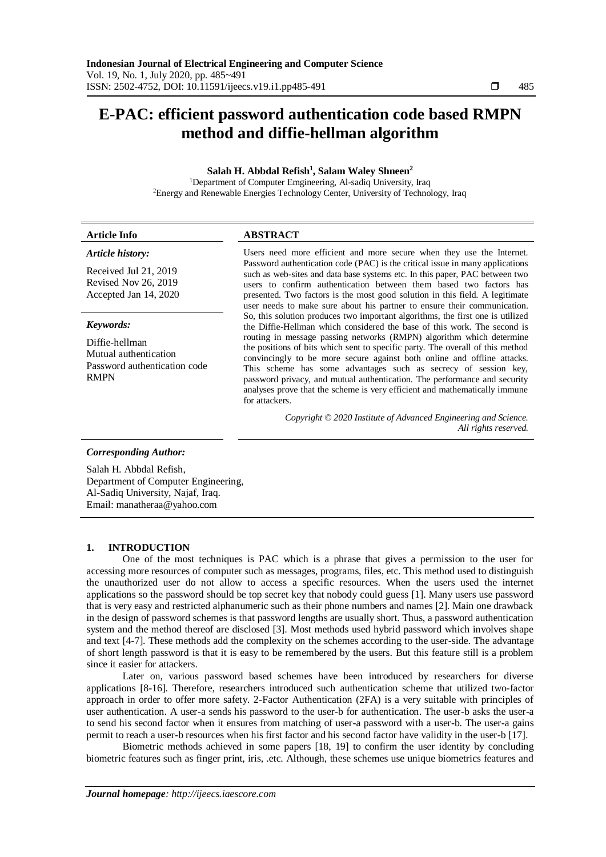# **E-PAC: efficient password authentication code based RMPN method and diffie-hellman algorithm**

# **Salah H. Abbdal Refish<sup>1</sup> , Salam Waley Shneen<sup>2</sup>**

<sup>1</sup>Department of Computer Emgineering, Al-sadiq University, Iraq <sup>2</sup>Energy and Renewable Energies Technology Center, University of Technology, Iraq

| <b>Article Info</b>                                                                    | <b>ABSTRACT</b>                                                                                                                                                                                                                                                                                                                                                                                                                                                                   |  |  |
|----------------------------------------------------------------------------------------|-----------------------------------------------------------------------------------------------------------------------------------------------------------------------------------------------------------------------------------------------------------------------------------------------------------------------------------------------------------------------------------------------------------------------------------------------------------------------------------|--|--|
| Article history:                                                                       | Users need more efficient and more secure when they use the Internet.<br>Password authentication code (PAC) is the critical issue in many applications                                                                                                                                                                                                                                                                                                                            |  |  |
| Received Jul 21, 2019<br>Revised Nov 26, 2019                                          | such as web-sites and data base systems etc. In this paper, PAC between two<br>users to confirm authentication between them based two factors has                                                                                                                                                                                                                                                                                                                                 |  |  |
| Accepted Jan 14, 2020                                                                  | presented. Two factors is the most good solution in this field. A legitimate<br>user needs to make sure about his partner to ensure their communication.                                                                                                                                                                                                                                                                                                                          |  |  |
| Keywords:                                                                              | So, this solution produces two important algorithms, the first one is utilized<br>the Diffie-Hellman which considered the base of this work. The second is                                                                                                                                                                                                                                                                                                                        |  |  |
| Diffie-hellman<br>Mutual authentication<br>Password authentication code<br><b>RMPN</b> | routing in message passing networks (RMPN) algorithm which determine<br>the positions of bits which sent to specific party. The overall of this method<br>convincingly to be more secure against both online and offline attacks.<br>This scheme has some advantages such as secrecy of session key,<br>password privacy, and mutual authentication. The performance and security<br>analyses prove that the scheme is very efficient and mathematically immune<br>for attackers. |  |  |
|                                                                                        | Copyright © 2020 Institute of Advanced Engineering and Science.<br>All rights reserved.                                                                                                                                                                                                                                                                                                                                                                                           |  |  |
| <b>Corresponding Author:</b>                                                           |                                                                                                                                                                                                                                                                                                                                                                                                                                                                                   |  |  |

Salah H. Abbdal Refish, Department of Computer Engineering, Al-Sadiq University, Najaf, Iraq. Email: [manatheraa@yahoo.com](mailto:manatheraa@yahoo.com)

#### **1. INTRODUCTION**

One of the most techniques is PAC which is a phrase that gives a permission to the user for accessing more resources of computer such as messages, programs, files, etc. This method used to distinguish the unauthorized user do not allow to access a specific resources. When the users used the internet applications so the password should be top secret key that nobody could guess [1]. Many users use password that is very easy and restricted alphanumeric such as their phone numbers and names [2]. Main one drawback in the design of password schemes is that password lengths are usually short. Thus, a password authentication system and the method thereof are disclosed [3]. Most methods used hybrid password which involves shape and text [4-7]. These methods add the complexity on the schemes according to the user-side. The advantage of short length password is that it is easy to be remembered by the users. But this feature still is a problem since it easier for attackers.

Later on, various password based schemes have been introduced by researchers for diverse applications [8-16]. Therefore, researchers introduced such authentication scheme that utilized two-factor approach in order to offer more safety. 2-Factor Authentication (2FA) is a very suitable with principles of user authentication. A user-a sends his password to the user-b for authentication. The user-b asks the user-a to send his second factor when it ensures from matching of user-a password with a user-b. The user-a gains permit to reach a user-b resources when his first factor and his second factor have validity in the user-b [17].

Biometric methods achieved in some papers [18, 19] to confirm the user identity by concluding biometric features such as finger print, iris, .etc. Although, these schemes use unique biometrics features and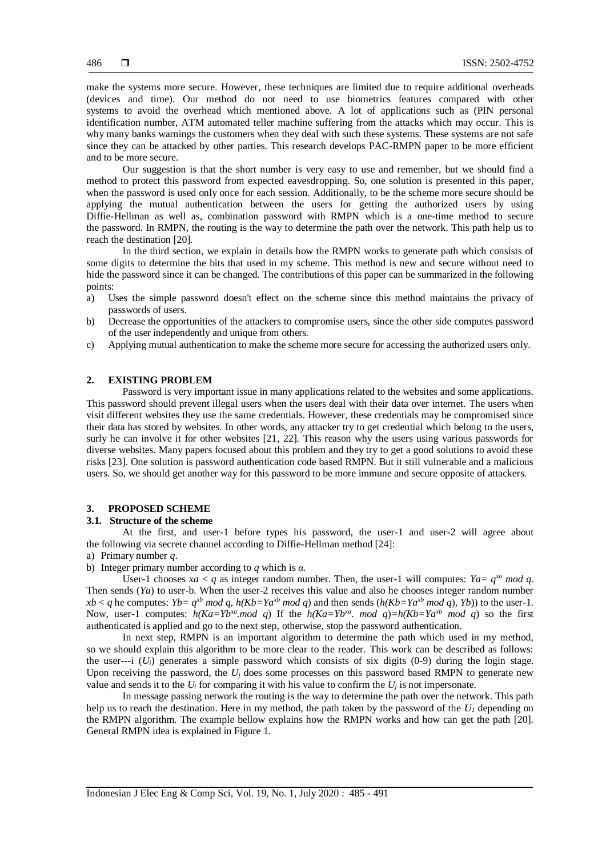make the systems more secure. However, these techniques are limited due to require additional overheads (devices and time). Our method do not need to use biometrics features compared with other systems to avoid the overhead which mentioned above. A lot of applications such as (PIN personal identification number, ATM automated teller machine suffering from the attacks which may occur. This is why many banks warnings the customers when they deal with such these systems. These systems are not safe since they can be attacked by other parties. This research develops PAC-RMPN paper to be more efficient and to be more secure.

Our suggestion is that the short number is very easy to use and remember, but we should find a method to protect this password from expected eavesdropping. So, one solution is presented in this paper, when the password is used only once for each session. Additionally, to be the scheme more secure should be applying the mutual authentication between the users for getting the authorized users by using Diffie-Hellman as well as, combination password with RMPN which is a one-time method to secure the password. In RMPN, the routing is the way to determine the path over the network. This path help us to reach the destination [20].

In the third section, we explain in details how the RMPN works to generate path which consists of some digits to determine the bits that used in my scheme. This method is new and secure without need to hide the password since it can be changed. The contributions of this paper can be summarized in the following points:

- a) Uses the simple password doesn't effect on the scheme since this method maintains the privacy of passwords of users.
- b) Decrease the opportunities of the attackers to compromise users, since the other side computes password of the user independently and unique from others.
- c) Applying mutual authentication to make the scheme more secure for accessing the authorized users only.

### **2. EXISTING PROBLEM**

Password is very important issue in many applications related to the websites and some applications. This password should prevent illegal users when the users deal with their data over internet. The users when visit different websites they use the same credentials. However, these credentials may be compromised since their data has stored by websites. In other words, any attacker try to get credential which belong to the users, surly he can involve it for other websites [21, 22]. This reason why the users using various passwords for diverse websites. Many papers focused about this problem and they try to get a good solutions to avoid these risks [23]. One solution is password authentication code based RMPN. But it still vulnerable and a malicious users. So, we should get another way for this password to be more immune and secure opposite of attackers.

## **3. PROPOSED SCHEME**

#### **3.1. Structure of the scheme**

At the first, and user-1 before types his password, the user-1 and user-2 will agree about the following via secrete channel according to Diffie-Hellman method [24]:

- a) Primary number *q*.
- b) Integer primary number according to *q* which is *α.*

User-1 chooses  $xa < q$  as integer random number. Then, the user-1 will computes:  $Ya = q^{xa} \mod q$ . Then sends (*Ya*) to user-b. When the user-2 receives this value and also he chooses integer random number  $xb < q$  he computes:  $Yb = q^{xb} \mod q$ ,  $h(Kb = Ya^{xb} \mod q)$  and then sends  $(h(Kb = Ya^{xb} \mod q), Yb)$  to the user-1. Now, user-1 computes:  $h(Ka=Yb^{xa} \mod q)$  If the  $h(Ka=Yb^{xa} \mod q) = h(Kb=Ya^{xb} \mod q)$  so the first authenticated is applied and go to the next step, otherwise, stop the password authentication.

In next step, RMPN is an important algorithm to determine the path which used in my method, so we should explain this algorithm to be more clear to the reader. This work can be described as follows: the user---i  $(U_i)$  generates a simple password which consists of six digits (0-9) during the login stage. Upon receiving the password, the  $U_i$  does some processes on this password based RMPN to generate new value and sends it to the  $U_i$  for comparing it with his value to confirm the  $U_i$  is not impersonate.

In message passing network the routing is the way to determine the path over the network. This path help us to reach the destination. Here in my method, the path taken by the password of the  $U<sub>l</sub>$  depending on the RMPN algorithm. The example bellow explains how the RMPN works and how can get the path [20]. General RMPN idea is explained in Figure 1.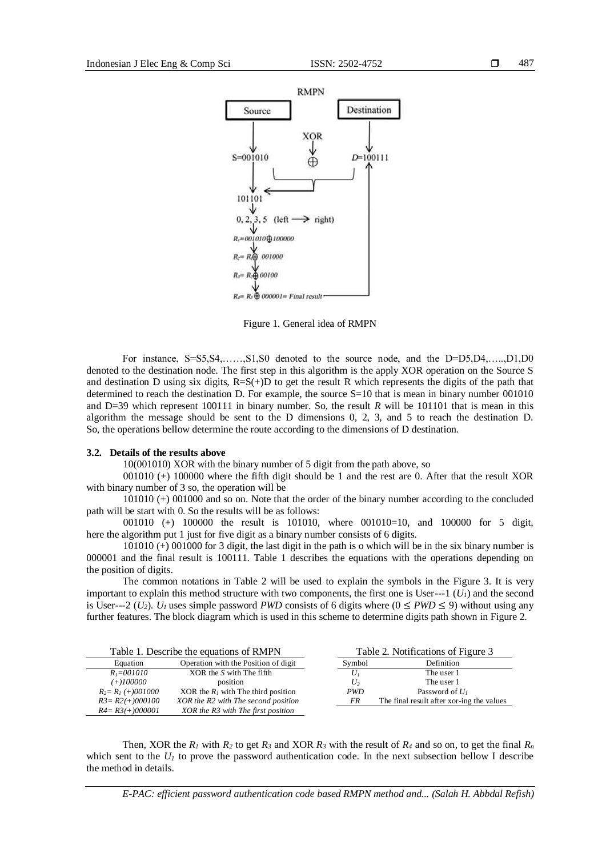

Figure 1. General idea of RMPN

For instance, S=S5,S4,……,S1,S0 denoted to the source node, and the D=D5,D4,…..,D1,D0 denoted to the destination node. The first step in this algorithm is the apply XOR operation on the Source S and destination D using six digits,  $R=S(+)D$  to get the result R which represents the digits of the path that determined to reach the destination D. For example, the source S=10 that is mean in binary number 001010 and D=39 which represent 100111 in binary number. So, the result *R* will be 101101 that is mean in this algorithm the message should be sent to the D dimensions 0, 2, 3, and 5 to reach the destination D. So, the operations bellow determine the route according to the dimensions of D destination.

#### **3.2. Details of the results above**

10(001010) XOR with the binary number of 5 digit from the path above, so

001010 (+) 100000 where the fifth digit should be 1 and the rest are 0. After that the result XOR with binary number of 3 so, the operation will be

101010 (+) 001000 and so on. Note that the order of the binary number according to the concluded path will be start with 0. So the results will be as follows:

001010 (+) 100000 the result is 101010, where 001010=10, and 100000 for 5 digit, here the algorithm put 1 just for five digit as a binary number consists of 6 digits.

101010 (+) 001000 for 3 digit, the last digit in the path is o which will be in the six binary number is 000001 and the final result is 100111. Table 1 describes the equations with the operations depending on the position of digits.

The common notations in Table 2 will be used to explain the symbols in the Figure 3. It is very important to explain this method structure with two components, the first one is User---1  $(U_l)$  and the second is User---2 ( $U_2$ ).  $U_1$  uses simple password *PWD* consists of 6 digits where ( $0 \leq PWD \leq 9$ ) without using any further features. The block diagram which is used in this scheme to determine digits path shown in Figure 2.

| Table 1. Describe the equations of RMPN |                                       |                | Table 2. Notifications of Figure 3        |  |  |
|-----------------------------------------|---------------------------------------|----------------|-------------------------------------------|--|--|
| Equation                                | Operation with the Position of digit  | Symbol         | Definition                                |  |  |
| $R_{i} = 001010$                        | $XOR$ the $S$ with The fifth          | $U_1$          | The user 1                                |  |  |
| $(+)100000$                             | position                              | U <sub>2</sub> | The user 1                                |  |  |
| $R_2 = R_1 (+)001000$                   | XOR the $R_1$ with The third position | <i>PWD</i>     | Password of $U_1$                         |  |  |
| $R3 = R2(+)000100$                      | XOR the R2 with The second position   | FR             | The final result after xor-ing the values |  |  |
| $R4 = R3(+)000001$                      | XOR the R3 with The first position    |                |                                           |  |  |

Then, XOR the  $R_1$  with  $R_2$  to get  $R_3$  and XOR  $R_3$  with the result of  $R_4$  and so on, to get the final  $R_n$ which sent to the  $U_l$  to prove the password authentication code. In the next subsection bellow I describe the method in details.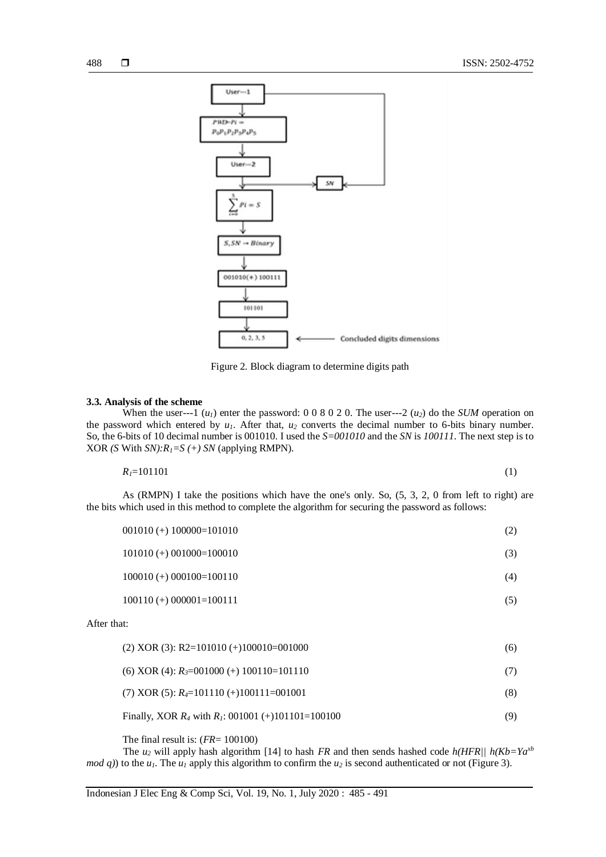

Figure 2. Block diagram to determine digits path

#### **3.3. Analysis of the scheme**

When the user---1  $(u_l)$  enter the password: 0 0 8 0 2 0. The user---2  $(u_2)$  do the *SUM* operation on the password which entered by  $u_1$ . After that,  $u_2$  converts the decimal number to 6-bits binary number. So, the 6-bits of 10 decimal number is 001010. I used the *S=001010* and the *SN* is *100111*. The next step is to XOR *(S* With *SN):R1=S (+) SN* (applying RMPN).

$$
R_{I} = 101101 \tag{1}
$$

As (RMPN) I take the positions which have the one's only. So, (5, 3, 2, 0 from left to right) are the bits which used in this method to complete the algorithm for securing the password as follows:

| $001010 (+) 100000=101010$ |  |
|----------------------------|--|
|----------------------------|--|

101010 (+) 001000=100010 (3) (3)

100010 (+) 000100=100110 (4)

100110 (+) 000001=100111 (5)

After that:

| $(2)$ XOR $(3)$ : R2=101010 $(+)$ 100010=001000         | (6) |
|---------------------------------------------------------|-----|
| (6) XOR (4): $R_3 = 001000$ (+) 100110=101110           | (7) |
| (7) XOR (5): $R_4 = 101110 (+)100111 = 001001$          | (8) |
| Finally, XOR $R_4$ with $R_1$ : 001001 (+)101101=100100 | (9) |

The final result is: (*FR*= 100100)

The  $u_2$  will apply hash algorithm [14] to hash *FR* and then sends hashed code  $h(HFR)/ h(Kb=Ya^{xb}$ *mod q*)) to the  $u_1$ . The  $u_1$  apply this algorithm to confirm the  $u_2$  is second authenticated or not (Figure 3).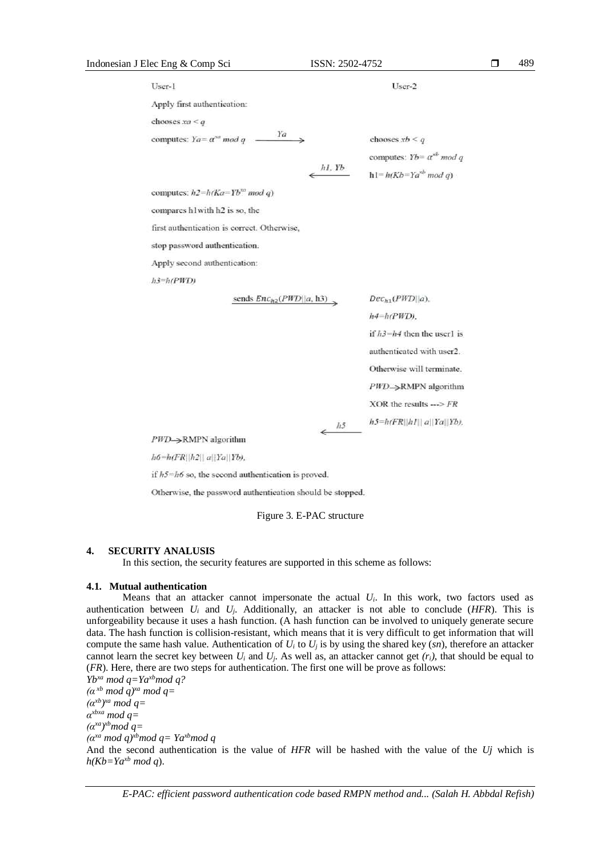# Indonesian J Elec Eng & Comp Sci ISSN: 2502-4752 User-1 User-2 Apply first authentication: chooses  $xa < q$  $Ya \rightarrow$ computes:  $Ya = \alpha^{va} \mod q$  chooses  $xb < q$ computes:  $Yb = \alpha^{xb} \mod q$  $h$ I. Y $b$  $h1 = h(Kb = Ya^{nb} \mod a)$ computes:  $h2 = h(Ka = Yb^{na} \mod q)$ compares h1with h2 is so, the first authentication is correct. Otherwise, stop password authentication. Apply second authentication:  $h3=h(PWD)$

sends  $Enc_{h2}(PWD||a, h3)$ 

 $Dec_{h1}(PWD||a)$ ,  $h4=h(PWD)$ . if  $h3=h4$  then the user1 is authenticated with user2. Otherwise will terminate.  $PWD\rightarrow$ RMPN algorithm XOR the results  $\rightarrow$  FR  $h5=h$ (FR||hI|| a||Ya||Yb), 489

*PWD*→RMPN algorithm

 $h6=h$ (FR||h2|| a||Ya||Yb),

if  $h5=h6$  so, the second authentication is proved.

Otherwise, the password authentication should be stopped.

#### Figure 3. E-PAC structure

 $h5$ 

# **4. SECURITY ANALUSIS**

In this section, the security features are supported in this scheme as follows:

# **4.1. Mutual authentication**

Means that an attacker cannot impersonate the actual  $U_i$ . In this work, two factors used as authentication between *U<sup>i</sup>* and *Uj*. Additionally, an attacker is not able to conclude (*HFR*). This is unforgeability because it uses a hash function. (A hash function can be involved to uniquely generate secure data. The hash function is [collision-resistant,](https://en.wikipedia.org/wiki/Collision-resistant) which means that it is very difficult to get information that will compute the same hash value. Authentication of  $U_i$  to  $U_j$  is by using the shared key (*sn*), therefore an attacker cannot learn the secret key between  $U_i$  and  $U_j$ . As well as, an attacker cannot get  $(r_i)$ , that should be equal to (*FR*). Here, there are two steps for authentication. The first one will be prove as follows:

*Ybxa mod q=Yaxbmod q?*  $(a^{xb} \mod q)^{xa} \mod q =$ *(αxb) xa mod q= α xbxa mod q= (αxa) xbmod q= (αxa mod q)xbmod q= Yaxbmod q* And the second authentication is the value of *HFR* will be hashed with the value of the *Uj* which is  $h(Kb=Ya^{xb} \mod q)$ .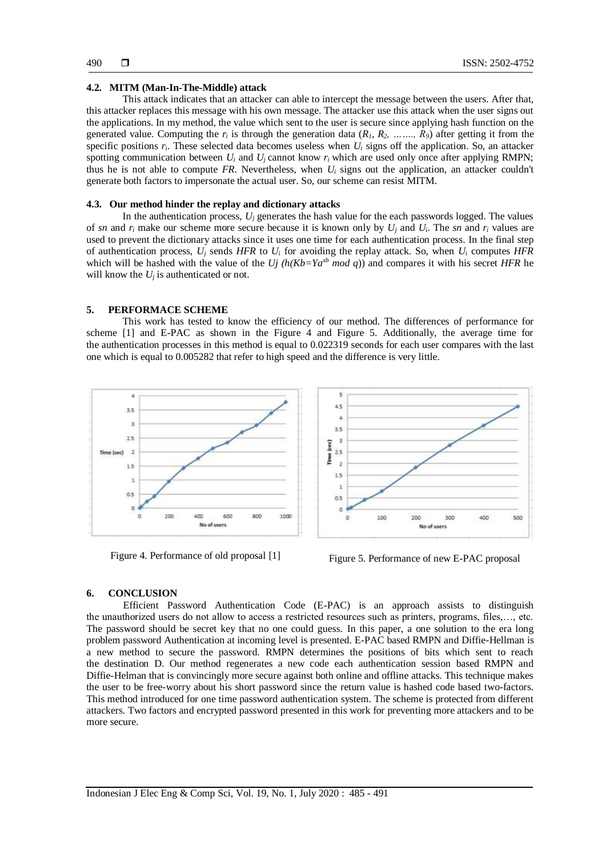#### **4.2. MITM (Man-In-The-Middle) attack**

This attack indicates that an attacker can able to intercept the message between the users. After that, this attacker replaces this message with his own message. The attacker use this attack when the user signs out the applications. In my method, the value which sent to the user is secure since applying hash function on the generated value. Computing the  $r_i$  is through the generation data  $(R_1, R_2, \ldots, R_9)$  after getting it from the specific positions  $r_i$ . These selected data becomes useless when  $U_i$  signs off the application. So, an attacker spotting communication between  $U_i$  and  $U_j$  cannot know  $r_i$  which are used only once after applying RMPN; thus he is not able to compute *FR*. Nevertheless, when  $U_i$  signs out the application, an attacker couldn't generate both factors to impersonate the actual user. So, our scheme can resist MITM.

#### **4.3. Our method hinder the replay and dictionary attacks**

In the authentication process,  $U_j$  generates the hash value for the each passwords logged. The values of *sn* and  $r_i$  make our scheme more secure because it is known only by  $U_i$  and  $U_i$ . The *sn* and  $r_i$  values are used to prevent the dictionary attacks since it uses one time for each authentication process. In the final step of authentication process,  $U_i$  sends *HFR* to  $U_i$  for avoiding the replay attack. So, when  $U_i$  computes *HFR* which will be hashed with the value of the *Uj*  $(h(Kb=Ya^{xb} \mod q))$  and compares it with his secret *HFR* he will know the  $U_i$  is authenticated or not.

#### **5. PERFORMACE SCHEME**

This work has tested to know the efficiency of our method. The differences of performance for scheme [1] and E-PAC as shown in the Figure 4 and Figure 5. Additionally, the average time for the authentication processes in this method is equal to 0.022319 seconds for each user compares with the last one which is equal to 0.005282 that refer to high speed and the difference is very little.



Figure 4. Performance of old proposal [1] Figure 5. Performance of new E-PAC proposal

#### **6. CONCLUSION**

Efficient Password Authentication Code (E-PAC) is an approach assists to distinguish the unauthorized users do not allow to access a restricted resources such as printers, programs, files,…, etc. The password should be secret key that no one could guess. In this paper, a one solution to the era long problem password Authentication at incoming level is presented. E-PAC based RMPN and Diffie-Hellman is a new method to secure the password. RMPN determines the positions of bits which sent to reach the destination D. Our method regenerates a new code each authentication session based RMPN and Diffie-Helman that is convincingly more secure against both online and offline attacks. This technique makes the user to be free-worry about his short password since the return value is hashed code based two-factors. This method introduced for one time password authentication system. The scheme is protected from different attackers. Two factors and encrypted password presented in this work for preventing more attackers and to be more secure.